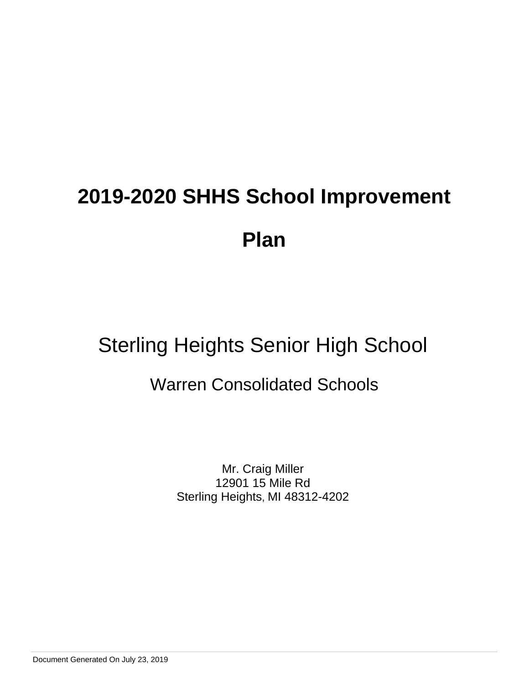## Sterling Heights Senior High School

### Warren Consolidated Schools

Mr. Craig Miller 12901 15 Mile Rd Sterling Heights, MI 48312-4202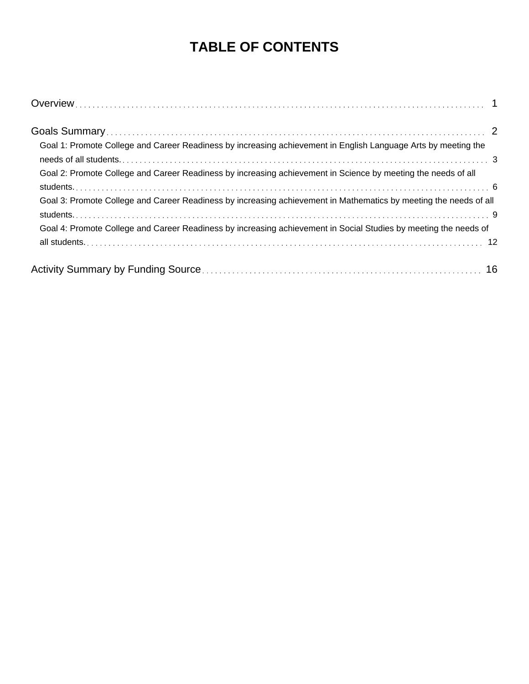### **TABLE OF CONTENTS**

| Goal 1: Promote College and Career Readiness by increasing achievement in English Language Arts by meeting the    |  |
|-------------------------------------------------------------------------------------------------------------------|--|
| Goal 2: Promote College and Career Readiness by increasing achievement in Science by meeting the needs of all     |  |
| Goal 3: Promote College and Career Readiness by increasing achievement in Mathematics by meeting the needs of all |  |
| Goal 4: Promote College and Career Readiness by increasing achievement in Social Studies by meeting the needs of  |  |
|                                                                                                                   |  |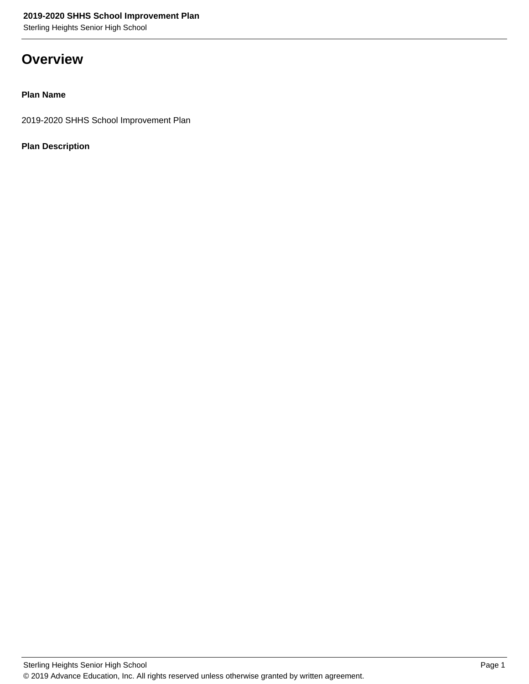Sterling Heights Senior High School

### **Overview**

### **Plan Name**

2019-2020 SHHS School Improvement Plan

### **Plan Description**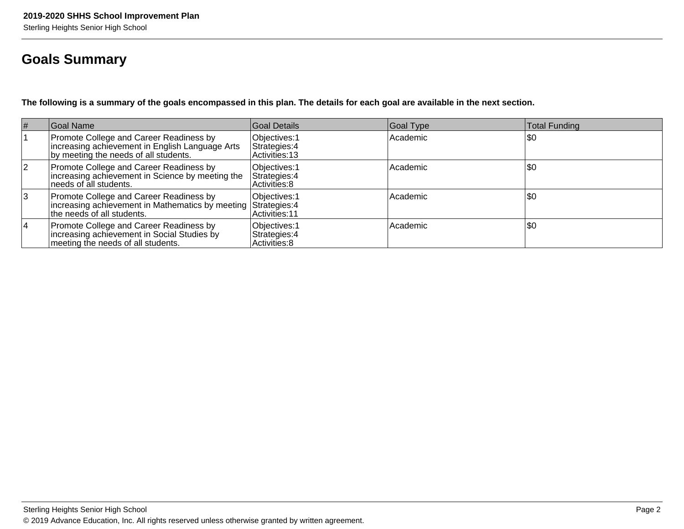### **Goals Summary**

**The following is a summary of the goals encompassed in this plan. The details for each goal are available in the next section.**

| #        | Goal Name                                                                                                                                | Goal Details                                     | Goal Type | <b>Total Funding</b> |
|----------|------------------------------------------------------------------------------------------------------------------------------------------|--------------------------------------------------|-----------|----------------------|
|          | Promote College and Career Readiness by<br>increasing achievement in English Language Arts<br>by meeting the needs of all students.      | Objectives: 1<br>Strategies: 4<br>Activities: 13 | Academic  | 1\$0                 |
| <u>2</u> | Promote College and Career Readiness by<br>increasing achievement in Science by meeting the<br>needs of all students.                    | Objectives: 1<br>Strategies: 4<br>Activities: 8  | Academic  | 1\$0                 |
| 13       | Promote College and Career Readiness by<br>Increasing achievement in Mathematics by meeting Strategies: 4<br>lthe needs of all students. | Objectives: 1<br>Activities: 11                  | Academic  | \$0                  |
| 14       | Promote College and Career Readiness by<br>increasing achievement in Social Studies by<br>meeting the needs of all students.             | Objectives: 1<br>Strategies: 4<br>Activities: 8  | Academic  | \$0                  |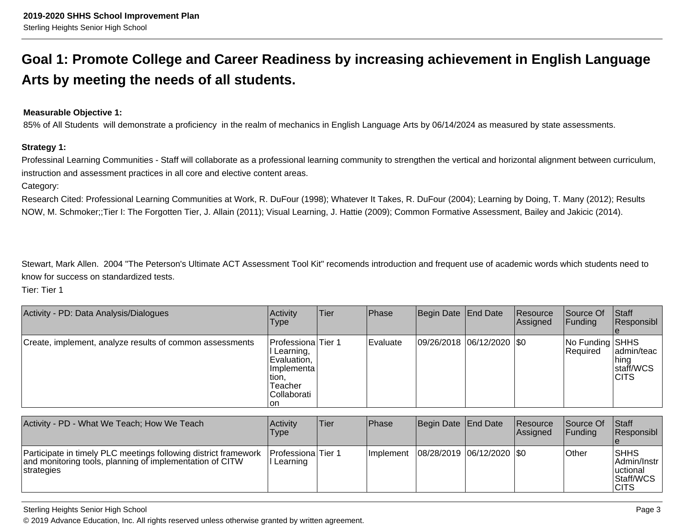### **Goal 1: Promote College and Career Readiness by increasing achievement in English LanguageArts by meeting the needs of all students.**

### **Measurable Objective 1:**

85% of All Students will demonstrate a proficiency in the realm of mechanics in English Language Arts by 06/14/2024 as measured by state assessments.

### **Strategy 1:**

Professinal Learning Communities - Staff will collaborate as a professional learning community to strengthen the vertical and horizontal alignment between curriculum, instruction and assessment practices in all core and elective content areas.

Category:

Research Cited: Professional Learning Communities at Work, R. DuFour (1998); Whatever It Takes, R. DuFour (2004); Learning by Doing, T. Many (2012); ResultsNOW, M. Schmoker;;Tier I: The Forgotten Tier, J. Allain (2011); Visual Learning, J. Hattie (2009); Common Formative Assessment, Bailey and Jakicic (2014).

Stewart, Mark Allen. 2004 "The Peterson's Ultimate ACT Assessment Tool Kit" recomends introduction and frequent use of academic words which students need toknow for success on standardized tests.

Tier: Tier 1

| Activity - PD: Data Analysis/Dialogues                   | Activity<br><b>Type</b>                                                                                  | Tier | Phase            | Begin Date End Date           | Resource<br>Assigned | Source Of<br><b>IFunding</b>       | Staff<br>Responsibl                              |
|----------------------------------------------------------|----------------------------------------------------------------------------------------------------------|------|------------------|-------------------------------|----------------------|------------------------------------|--------------------------------------------------|
| Create, implement, analyze results of common assessments | Professiona Tier 1<br>I Learning,<br>Evaluation,<br>Implementa<br>tion,<br>Teacher<br>Collaborati<br>∣on |      | <b>IEvaluate</b> | $ 09/26/2018 06/12/2020 $ \$0 |                      | No Funding SHHS<br><b>Required</b> | ladmin/teac<br> hing<br>staff/WCS<br><b>CITS</b> |

| Activity - PD - What We Teach; How We Teach                                                                                               | Activity<br>Type                      | lTier | <b>IPhase</b> | Begin Date End Date         | <b>Resource</b><br><b>Assigned</b> | lSource Of<br>IFundina | <b>Staff</b><br><b>Responsibl</b>                                             |
|-------------------------------------------------------------------------------------------------------------------------------------------|---------------------------------------|-------|---------------|-----------------------------|------------------------------------|------------------------|-------------------------------------------------------------------------------|
| Participate in timely PLC meetings following district framework<br>and monitoring tools, planning of implementation of CITW<br>strategies | <b>Professiona</b> Tier 1<br>Learning |       | Ilmplement    | 08/28/2019  06/12/2020  \$0 |                                    | lOther                 | <b>ISHHS</b><br>∣Admin/Instr_<br><b>luctional</b><br>Staff/WCS<br><b>CITS</b> |

Sterling Heights Senior High School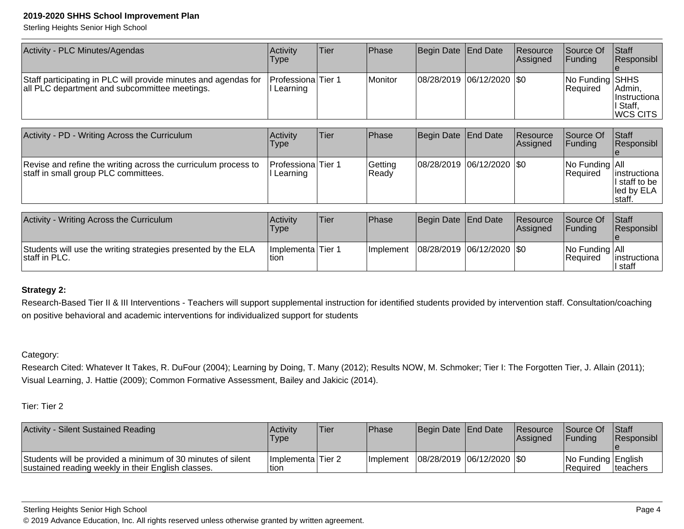Sterling Heights Senior High School

| Activity - PLC Minutes/Agendas                                                                                   | Activity<br><b>Type</b>                 | lTier | Phase          | Begin Date End Date         | <b>Resource</b><br><b>Assigned</b> | lSource Of<br>IFundina             | <b>Staff</b><br>Responsibl                                                   |
|------------------------------------------------------------------------------------------------------------------|-----------------------------------------|-------|----------------|-----------------------------|------------------------------------|------------------------------------|------------------------------------------------------------------------------|
| Staff participating in PLC will provide minutes and agendas for<br>all PLC department and subcommittee meetings. | <b>ProfessionalTier 1</b><br>I Learning |       | <b>Monitor</b> | 08/28/2019  06/12/2020  \$0 |                                    | No Funding SHHS<br><b>Required</b> | IAdmin.<br><i>Ilnstructiona</i><br><sup>I</sup> I Staff.<br><b>IWCS CITS</b> |

| Activity - PD - Writing Across the Curriculum                                                          | Activity<br>Type               | Tier | <b>IPhase</b>    | Begin Date End Date           | Resource<br><b>Assigned</b> | Source Of<br>IFundina              | <b>Staff</b><br>Responsibl                                                |
|--------------------------------------------------------------------------------------------------------|--------------------------------|------|------------------|-------------------------------|-----------------------------|------------------------------------|---------------------------------------------------------------------------|
| Revise and refine the writing across the curriculum process to<br>staff in small group PLC committees. | Professiona Tier 1<br>Learning |      | Getting<br>Ready | $ 08/28/2019 06/12/2020 $ \$0 |                             | No Funding All<br><b>IRequired</b> | instructiona  <br>$\vert$ staff to be $\vert$<br>lled by ELA I<br>Istaff. |

| Activity - Writing Across the Curriculum                                       | Activity<br><b>Type</b>     | <b>Tier</b> | <b>Phase</b> | Begin Date End Date         | Resource<br>Assigned | Source Of<br><b>IFundina</b>            | <b>Staff</b><br><b>Responsibl</b> |
|--------------------------------------------------------------------------------|-----------------------------|-------------|--------------|-----------------------------|----------------------|-----------------------------------------|-----------------------------------|
| Students will use the writing strategies presented by the ELA<br>staff in PLC. | Implementa Tier 1<br>ltion. |             | Ilmplement   | 08/28/2019  06/12/2020  \$0 |                      | $ No$ Funding $ All$<br><b>Required</b> | linstructional<br>I staff         |

### **Strategy 2:**

Research-Based Tier II & III Interventions - Teachers will support supplemental instruction for identified students provided by intervention staff. Consultation/coaching on positive behavioral and academic interventions for individualized support for students

### Category:

Research Cited: Whatever It Takes, R. DuFour (2004); Learning by Doing, T. Many (2012); Results NOW, M. Schmoker; Tier I: The Forgotten Tier, J. Allain (2011);Visual Learning, J. Hattie (2009); Common Formative Assessment, Bailey and Jakicic (2014).

| Activity - Silent Sustained Reading                                                                               | Activity<br>'Type'          | Tier | <b>IPhase</b>     | Begin Date End Date |                               | <b>Resource</b><br><b>Assigned</b> | <b>Source Of</b><br><b>IFundina</b> | Staff<br><b>Responsibl</b> |
|-------------------------------------------------------------------------------------------------------------------|-----------------------------|------|-------------------|---------------------|-------------------------------|------------------------------------|-------------------------------------|----------------------------|
| Students will be provided a minimum of 30 minutes of silent<br>sustained reading weekly in their English classes. | Implementa Tier 2<br>ltion. |      | <b>Ilmplement</b> |                     | 08/28/2019   06/12/2020   \$0 |                                    | No Funding English<br>l Reauired    | Iteachers                  |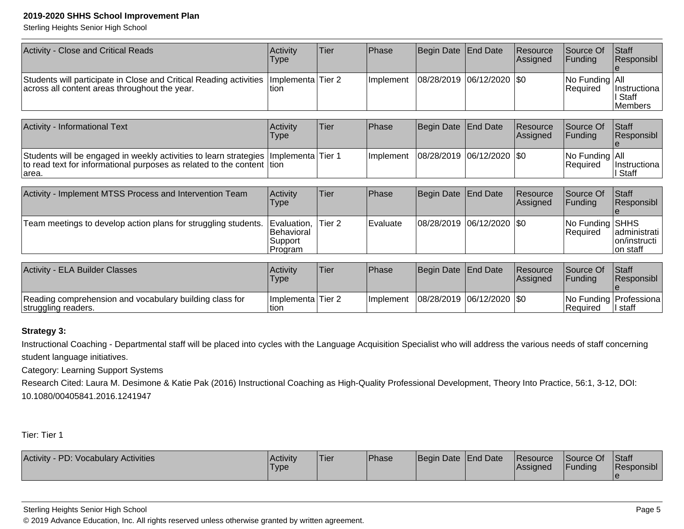Sterling Heights Senior High School

| <b>Activity - Close and Critical Reads</b>                                                                                                                        | Activity<br>Type                                       | <b>Tier</b>       | Phase        | Begin Date        | <b>End Date</b>  | Resource<br> Assigned | Source Of<br> Funding       | Staff<br> Responsibl                       |
|-------------------------------------------------------------------------------------------------------------------------------------------------------------------|--------------------------------------------------------|-------------------|--------------|-------------------|------------------|-----------------------|-----------------------------|--------------------------------------------|
| Students will participate in Close and Critical Reading activities<br>across all content areas throughout the year.                                               | Implementa<br>ltion.                                   | Tier 2            | Implement    | 08/28/2019        | 06/12/2020       | 1\$0                  | No Funding All<br>Required  | IInstructiona<br>∣ Staff<br>lMembers       |
| Activity - Informational Text                                                                                                                                     | Activity<br>Type                                       | Tier              | Phase        | <b>Begin Date</b> | <b>End Date</b>  | Resource<br>Assigned  | Source Of<br> Funding       | <b>Staff</b><br>Responsibl                 |
| Students will be engaged in weekly activities to learn strategies   Implementa<br>to read text for informational purposes as related to the content tion<br>area. |                                                        | Tier 1            | Implement    | 08/28/2019        | 06/12/2020  \$0  |                       | No Funding All<br>Required  | Instructiona<br>∣ Staff                    |
| Activity - Implement MTSS Process and Intervention Team                                                                                                           | Activity<br><b>Type</b>                                | Tier              | <b>Phase</b> | Begin Date        | <b>End Date</b>  | Resource<br> Assigned | Source Of<br>Funding        | Staff<br> Responsibl                       |
| Team meetings to develop action plans for struggling students.                                                                                                    | Evaluation,<br><b>Behavioral</b><br>Support<br>Program | Tier <sub>2</sub> | Evaluate     | 08/28/2019        | 06/12/2020   \$0 |                       | No Funding SHHS<br>Required | ladministrati<br>on/instructi<br>lon staff |
|                                                                                                                                                                   | $\sim$ $\sim$ $\sim$                                   |                   |              |                   |                  |                       |                             |                                            |

| <b>Activity - ELA Builder Classes</b>                                          | Activity<br><b>Type</b>    | 'Tier | <b>Phase</b>      | Begin Date End Date |                             | <b>Resource</b><br><b>Assigned</b> | Source Of<br>Funding | Staff<br><b>Responsibl</b>             |
|--------------------------------------------------------------------------------|----------------------------|-------|-------------------|---------------------|-----------------------------|------------------------------------|----------------------|----------------------------------------|
| Reading comprehension and vocabulary building class for<br>struggling readers. | Implementa Tier 2<br>ltion |       | <b>Ilmplement</b> |                     | 08/28/2019  06/12/2020  \$0 |                                    | l Reauired           | No Funding   Professiona  <br>II staff |

### **Strategy 3:**

Instructional Coaching - Departmental staff will be placed into cycles with the Language Acquisition Specialist who will address the various needs of staff concerningstudent language initiatives.

Category: Learning Support Systems

Research Cited: Laura M. Desimone & Katie Pak (2016) Instructional Coaching as High-Quality Professional Development, Theory Into Practice, 56:1, 3-12, DOI: 10.1080/00405841.2016.1241947

Tier: Tier 1

| Activity - PD: Vocabulary Activities | Activity<br>'Type | <b>Tier</b> | <b>Phase</b> | Begin Date End Date |  | <b>Resource</b><br> Assigned | Source Of<br><b>Funding</b> | <b>Staff</b><br>Responsibl |
|--------------------------------------|-------------------|-------------|--------------|---------------------|--|------------------------------|-----------------------------|----------------------------|
|--------------------------------------|-------------------|-------------|--------------|---------------------|--|------------------------------|-----------------------------|----------------------------|

Sterling Heights Senior High School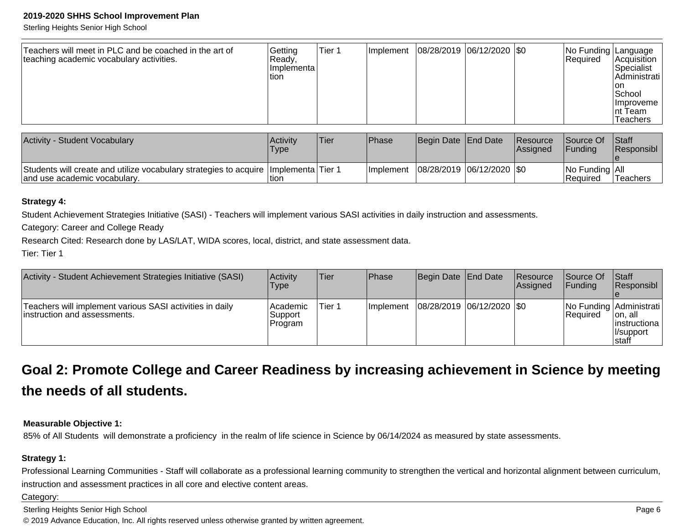Sterling Heights Senior High School

| Teachers will meet in PLC and be coached in the art of<br>teaching academic vocabulary activities. | Getting<br> Ready,<br>I Implementa l<br>ltion. | Tier 1 | Implement | 08/28/2019  06/12/2020  \$0 |  |  | No Funding Language<br>Required | Acquisition<br>Specialist<br>Administrati<br>Ton<br>School<br><b>Ilmproveme</b><br>Int Team<br><b>Teachers</b> |
|----------------------------------------------------------------------------------------------------|------------------------------------------------|--------|-----------|-----------------------------|--|--|---------------------------------|----------------------------------------------------------------------------------------------------------------|
|----------------------------------------------------------------------------------------------------|------------------------------------------------|--------|-----------|-----------------------------|--|--|---------------------------------|----------------------------------------------------------------------------------------------------------------|

| Activity - Student Vocabulary                                                                                           | Activity<br>Type | Tier | <b>Phase</b> | Begin Date End Date         | <b>Resource</b><br><b>Assianed</b> | Source Of<br><b>IFunding</b>       | <b>Staff</b><br><b>Responsibl</b> |
|-------------------------------------------------------------------------------------------------------------------------|------------------|------|--------------|-----------------------------|------------------------------------|------------------------------------|-----------------------------------|
| Students will create and utilize vocabulary strategies to acquire   Implementa   Tier 1<br>and use academic vocabulary. | tion             |      | I Implement  | 08/28/2019  06/12/2020  \$0 |                                    | No Funding All<br><b>IRequired</b> | Teachers                          |

#### **Strategy 4:**

Student Achievement Strategies Initiative (SASI) - Teachers will implement various SASI activities in daily instruction and assessments.

Category: Career and College Ready

Research Cited: Research done by LAS/LAT, WIDA scores, local, district, and state assessment data.

Tier: Tier 1

| Activity - Student Achievement Strategies Initiative (SASI)                               | Activity<br>Type                 | Tier   | <b>Phase</b> | Begin Date End Date           | <b>Resource</b><br>Assigned | <b>Source Of</b><br><b>IFundina</b> | <b>Staff</b><br> Responsibl                                                  |
|-------------------------------------------------------------------------------------------|----------------------------------|--------|--------------|-------------------------------|-----------------------------|-------------------------------------|------------------------------------------------------------------------------|
| Teachers will implement various SASI activities in daily<br>linstruction and assessments. | l Academic<br>Support<br>Program | Tier 1 | Ilmplement   | $ 08/28/2019 06/12/2020 $ \$0 |                             | <b>IRequired</b>                    | No Funding Administrati<br>∣on, all<br>linstructiona<br>Il/support<br>Istaff |

### **Goal 2: Promote College and Career Readiness by increasing achievement in Science by meetingthe needs of all students.**

### **Measurable Objective 1:**

85% of All Students will demonstrate a proficiency in the realm of life science in Science by 06/14/2024 as measured by state assessments.

### **Strategy 1:**

Professional Learning Communities - Staff will collaborate as a professional learning community to strengthen the vertical and horizontal alignment between curriculum, instruction and assessment practices in all core and elective content areas.

Category: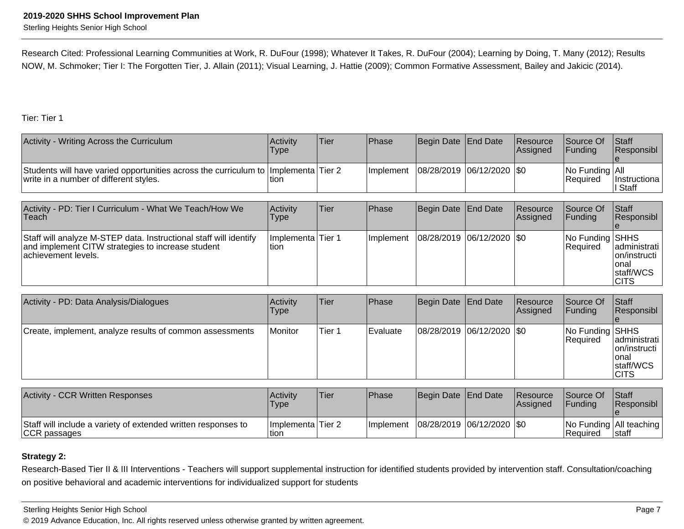Sterling Heights Senior High School

Research Cited: Professional Learning Communities at Work, R. DuFour (1998); Whatever It Takes, R. DuFour (2004); Learning by Doing, T. Many (2012); ResultsNOW, M. Schmoker; Tier I: The Forgotten Tier, J. Allain (2011); Visual Learning, J. Hattie (2009); Common Formative Assessment, Bailey and Jakicic (2014).

Tier: Tier 1

| Activity - Writing Across the Curriculum                                                                                         | Activity<br><b>Type</b> | lTier | <b>Phase</b>     | Begin Date End Date           | Resource<br><b>Assigned</b> | <b>Source Of</b><br><b>IFunding</b>     | <b>Staff</b><br><b>Responsibl</b> |
|----------------------------------------------------------------------------------------------------------------------------------|-------------------------|-------|------------------|-------------------------------|-----------------------------|-----------------------------------------|-----------------------------------|
| Students will have varied opportunities across the curriculum to   Implementa   Tier 2<br>write in a number of different styles. | tion                    |       | <b>Implement</b> | $ 08/28/2019 06/12/2020 $ \$0 |                             | $ No$ Funding $ All$<br><b>Required</b> | Instructiona<br>! Staff           |

| Activity - PD: Tier I Curriculum - What We Teach/How We<br>∣Teach.                                                                             | Activitv<br>Type            | Tier | <b>IPhase</b>     | Begin Date End Date         | Resource<br><b>Assigned</b> | Source Of<br>$\vert$ Funding       | <b>Staff</b><br>Responsibl                                          |
|------------------------------------------------------------------------------------------------------------------------------------------------|-----------------------------|------|-------------------|-----------------------------|-----------------------------|------------------------------------|---------------------------------------------------------------------|
| Staff will analyze M-STEP data. Instructional staff will identify<br>and implement CITW strategies to increase student<br>lachievement levels. | Implementa Tier 1<br>ltion. |      | <b>Ilmplement</b> | 08/28/2019  06/12/2020  \$0 |                             | No Funding SHHS<br><b>Required</b> | administrati<br> on/instructi<br>lonal<br>staff/WCS<br><b>ICITS</b> |

| Activity - PD: Data Analysis/Dialogues                   | <b>Activity</b><br><b>Type</b> | lTier. | <b>IPhase</b> | Begin Date End Date           | Resource<br><b>Assigned</b> | Source Of<br>$\vert$ Funding | <b>Staff</b><br>Responsibl                                           |
|----------------------------------------------------------|--------------------------------|--------|---------------|-------------------------------|-----------------------------|------------------------------|----------------------------------------------------------------------|
| Create, implement, analyze results of common assessments | Monitor                        | Tier 1 | Evaluate      | $ 08/28/2019 06/12/2020 $ \$0 |                             | No Funding SHHS<br>Required  | administrati<br>lon/instructi l<br>Ional<br>staff/WCS<br><b>CITS</b> |

| Activity - CCR Written Responses                                              | Activity<br><b>Type</b>    | 'Tier | <b>IPhase</b>     | <b>Begin Date I End Date</b> |                             | <b>Resource</b><br><b>Assigned</b> | <b>Source Of</b><br><b>IFundina</b> | <b>Staff</b><br><b>Responsibl</b>     |
|-------------------------------------------------------------------------------|----------------------------|-------|-------------------|------------------------------|-----------------------------|------------------------------------|-------------------------------------|---------------------------------------|
| Staff will include a variety of extended written responses to<br>CCR passages | Implementa Tier 2<br>Ition |       | <b>Ilmplement</b> |                              | 08/28/2019  06/12/2020  \$0 |                                    | l Reauired                          | No Funding   All teaching  <br>∣staff |

### **Strategy 2:**

Research-Based Tier II & III Interventions - Teachers will support supplemental instruction for identified students provided by intervention staff. Consultation/coaching on positive behavioral and academic interventions for individualized support for students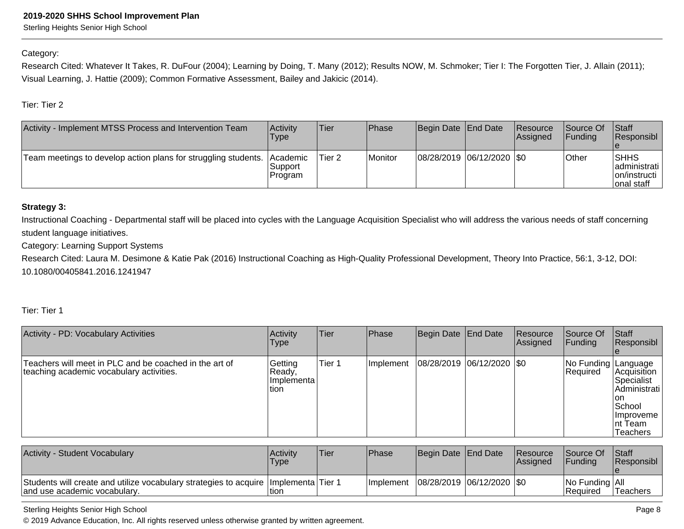Sterling Heights Senior High School

#### Category:

Research Cited: Whatever It Takes, R. DuFour (2004); Learning by Doing, T. Many (2012); Results NOW, M. Schmoker; Tier I: The Forgotten Tier, J. Allain (2011);Visual Learning, J. Hattie (2009); Common Formative Assessment, Bailey and Jakicic (2014).

Tier: Tier 2

| Activity - Implement MTSS Process and Intervention Team        | Activity<br>Type                       | Tier              | Phase   | Begin Date End Date         | <b>Resource</b><br>Assigned | <b>Source Of</b><br><b>IFundina</b> | <b>Staff</b><br>Responsibl                               |
|----------------------------------------------------------------|----------------------------------------|-------------------|---------|-----------------------------|-----------------------------|-------------------------------------|----------------------------------------------------------|
| Team meetings to develop action plans for struggling students. | <b>Academic</b><br>lSupport<br>Program | Tier <sub>2</sub> | Monitor | 08/28/2019  06/12/2020  \$0 |                             | Other                               | ISHHS<br>ladministrati l<br>  on/instructi<br>onal staff |

### **Strategy 3:**

Instructional Coaching - Departmental staff will be placed into cycles with the Language Acquisition Specialist who will address the various needs of staff concerningstudent language initiatives.

Category: Learning Support Systems

Research Cited: Laura M. Desimone & Katie Pak (2016) Instructional Coaching as High-Quality Professional Development, Theory Into Practice, 56:1, 3-12, DOI: 10.1080/00405841.2016.1241947

### Tier: Tier 1

| Activity - PD: Vocabulary Activities                                                               | Activity<br><b>Type</b>                    | Tier   | <b>Phase</b> | Begin Date End Date |                             | Resource<br>Assigned | Source Of<br> Funding                  | <b>Staff</b><br>Responsibl                                                                               |
|----------------------------------------------------------------------------------------------------|--------------------------------------------|--------|--------------|---------------------|-----------------------------|----------------------|----------------------------------------|----------------------------------------------------------------------------------------------------------|
| Teachers will meet in PLC and be coached in the art of<br>teaching academic vocabulary activities. | Getting<br>Ready,<br>Ilmplementa<br>ltion. | Tier 1 | Implement    |                     | 08/28/2019 06/12/2020   \$0 |                      | <b>No Funding Language</b><br>Required | Acquisition<br>Specialist<br>Administrati<br>l on<br>School<br><b>Ilmproveme</b><br>Int Team<br>Teachers |

| Activity - Student Vocabulary                                                                                           | Activity<br><b>Type</b> | 'Tier | <b>IPhase</b>     | Begin Date End Date |                             | Resource<br>Assigned | Source Of<br><b>Funding</b>        | Staff<br>Responsibl |
|-------------------------------------------------------------------------------------------------------------------------|-------------------------|-------|-------------------|---------------------|-----------------------------|----------------------|------------------------------------|---------------------|
| Students will create and utilize vocabulary strategies to acquire   Implementa   Tier 1<br>and use academic vocabulary. | tion                    |       | <b>Ilmplement</b> |                     | 08/28/2019  06/12/2020  \$0 |                      | No Funding All<br><b>IRequired</b> | lTeachers           |

#### Sterling Heights Senior High School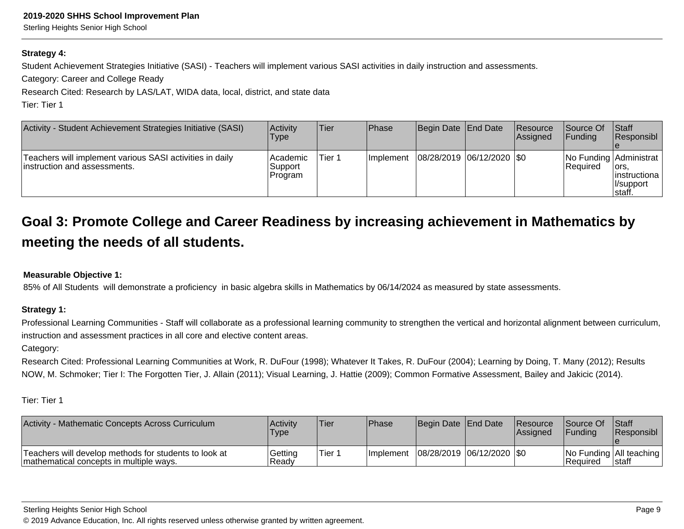Sterling Heights Senior High School

#### **Strategy 4:**

Student Achievement Strategies Initiative (SASI) - Teachers will implement various SASI activities in daily instruction and assessments.

Category: Career and College Ready

Research Cited: Research by LAS/LAT, WIDA data, local, district, and state data

Tier: Tier 1

| Activity - Student Achievement Strategies Initiative (SASI)                               | Activity<br>Type                 | Tier    | Phase            | Begin Date   End Date       | Resource<br><b>Assigned</b> | Source Of<br><b>IFunding</b> | <b>Staff</b><br>Responsibl                                                |
|-------------------------------------------------------------------------------------------|----------------------------------|---------|------------------|-----------------------------|-----------------------------|------------------------------|---------------------------------------------------------------------------|
| Teachers will implement various SASI activities in daily<br>linstruction and assessments. | l Academic<br>Support<br>Program | lTier 1 | <b>Implement</b> | 08/28/2019  06/12/2020  \$0 |                             | <b>IRequired</b>             | No Funding Administrat<br>lors,<br>linstructiona<br>Il/support<br>∣staff. |

### **Goal 3: Promote College and Career Readiness by increasing achievement in Mathematics bymeeting the needs of all students.**

### **Measurable Objective 1:**

85% of All Students will demonstrate a proficiency in basic algebra skills in Mathematics by 06/14/2024 as measured by state assessments.

### **Strategy 1:**

Professional Learning Communities - Staff will collaborate as a professional learning community to strengthen the vertical and horizontal alignment between curriculum,instruction and assessment practices in all core and elective content areas.

Category:

Research Cited: Professional Learning Communities at Work, R. DuFour (1998); Whatever It Takes, R. DuFour (2004); Learning by Doing, T. Many (2012); ResultsNOW, M. Schmoker; Tier I: The Forgotten Tier, J. Allain (2011); Visual Learning, J. Hattie (2009); Common Formative Assessment, Bailey and Jakicic (2014).

| Activity - Mathematic Concepts Across Curriculum                                                  | Activity<br>Type | 'Tier  | Phase             | Begin Date End Date         | <b>Resource</b><br><b>Assigned</b> | <b>Source Of</b><br><b>IFundina</b>     | <b>Staff</b><br><b>Responsibl</b> |
|---------------------------------------------------------------------------------------------------|------------------|--------|-------------------|-----------------------------|------------------------------------|-----------------------------------------|-----------------------------------|
| Teachers will develop methods for students to look at<br>'mathematical concepts in multiple ways. | Getting<br>Readv | Tier 1 | <b>Ilmplement</b> | 08/28/2019  06/12/2020  \$0 |                                    | No Funding   All teaching<br>l Reauired | Istaff                            |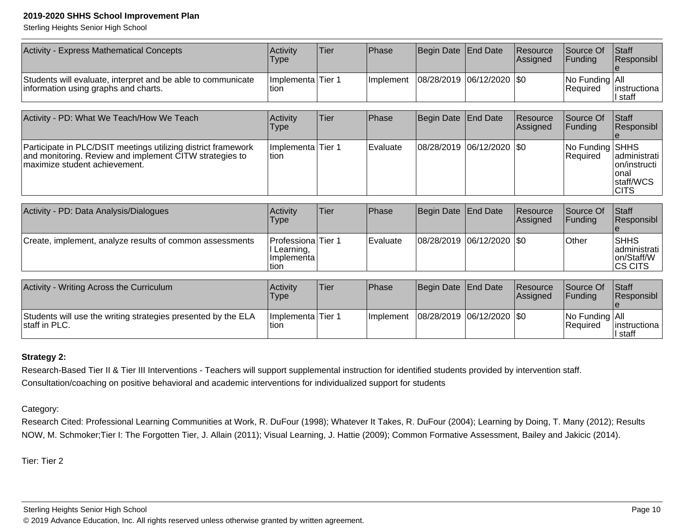Sterling Heights Senior High School

| Activity - Express Mathematical Concepts                                                             | <b>Activity</b><br><b>Type</b> | 'Tier | Phase                                     | Begin Date End Date | Resource<br><b>Assigned</b> | Source Of<br><b>IFundina</b>            | <b>Staff</b><br><b>Responsibl</b> |
|------------------------------------------------------------------------------------------------------|--------------------------------|-------|-------------------------------------------|---------------------|-----------------------------|-----------------------------------------|-----------------------------------|
| Students will evaluate, interpret and be able to communicate<br>information using graphs and charts. | Implementa Tier 1<br>tion      |       | Implement   08/28/2019   06/12/2020   \$0 |                     |                             | $ No$ Funding $ All$<br><b>Required</b> | linstructiona<br>ll staff         |

| Activity - PD: What We Teach/How We Teach                                                                                                                  | Activity<br><b>Type</b>    | lTier | <b>Phase</b>     | Begin Date End Date           | <b>Resource</b><br><b>Assigned</b> | Source Of<br>IFundina         | <b>Staff</b><br>Responsibl                                                    |
|------------------------------------------------------------------------------------------------------------------------------------------------------------|----------------------------|-------|------------------|-------------------------------|------------------------------------|-------------------------------|-------------------------------------------------------------------------------|
| Participate in PLC/DSIT meetings utilizing district framework<br>and monitoring. Review and implement CITW strategies to<br>Imaximize student achievement. | Implementa Tier 1<br>ltion |       | <b>IEvaluate</b> | $ 08/28/2019 06/12/2020 $ \$0 |                                    | No Funding SHHS<br>l Reauired | administrati  <br>lon/instructi<br>Ional<br><b>Istaff/WCS</b><br><b>ICITS</b> |

| Activity - PD: Data Analysis/Dialogues                   | <b>Activity</b><br><b>Type</b>                                    | <b>Tier</b> | Phase      | Begin Date   End Date       | <b>Resource</b><br><b>Assigned</b> | Source Of<br><b>IFundina</b> | <b>Staff</b><br><b>Responsibl</b>                      |
|----------------------------------------------------------|-------------------------------------------------------------------|-------------|------------|-----------------------------|------------------------------------|------------------------------|--------------------------------------------------------|
| Create, implement, analyze results of common assessments | <b>Professiona</b> Tier 1<br> I Learning,<br>Ilmplementa<br>Ition |             | l Evaluate | 08/28/2019 06/12/2020   \$0 |                                    | <b>Other</b>                 | <b>SHHS</b><br>ladministrati<br>on/Staff/W<br>ICS CITS |
| Activity - Writing Across the Curriculum                 | Activity                                                          | Tier        | Phase      | Begin Date End Date         | Resource                           | Source Of                    | <b>Staff</b>                                           |

| Activity - Writing Across the Curriculum                                       | l Activitv<br>Type         | Tier: | <b>IPhase</b>     | Begin Date   End Date |                             | <b>Resource</b><br><b>Assigned</b> | <b>Source Of</b><br><b>IFundina</b> | <b>IStaff</b><br><b>Responsibl</b> |
|--------------------------------------------------------------------------------|----------------------------|-------|-------------------|-----------------------|-----------------------------|------------------------------------|-------------------------------------|------------------------------------|
| Students will use the writing strategies presented by the ELA<br>staff in PLC. | Implementa Tier 1<br>Ition |       | <b>Ilmplement</b> |                       | 08/28/2019  06/12/2020  \$0 |                                    | No Funding All<br>Reauired          | linstructiona<br>l staff           |

### **Strategy 2:**

Research-Based Tier II & Tier III Interventions - Teachers will support supplemental instruction for identified students provided by intervention staff.Consultation/coaching on positive behavioral and academic interventions for individualized support for students

Category:

Research Cited: Professional Learning Communities at Work, R. DuFour (1998); Whatever It Takes, R. DuFour (2004); Learning by Doing, T. Many (2012); ResultsNOW, M. Schmoker;Tier I: The Forgotten Tier, J. Allain (2011); Visual Learning, J. Hattie (2009); Common Formative Assessment, Bailey and Jakicic (2014).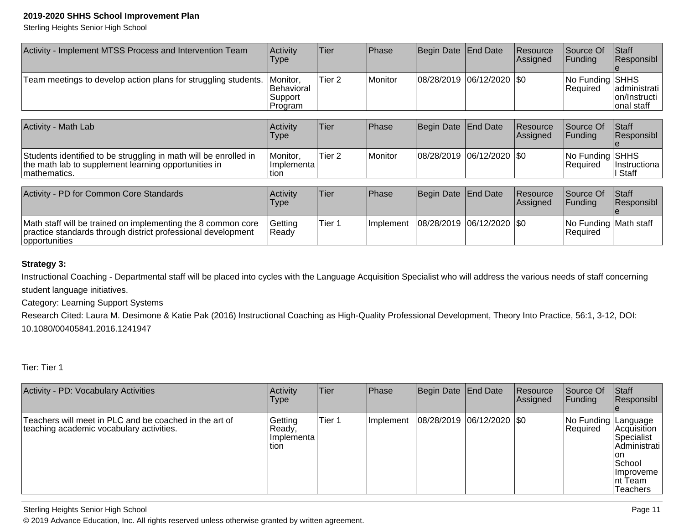Sterling Heights Senior High School

| Activity - Implement MTSS Process and Intervention Team                                                                                       | Activity<br><b>Type</b>                      | Tier              | Phase     | Begin Date  | <b>End Date</b>     | Resource<br>Assigned | Source Of<br>Funding               | Staff<br> Responsibl                         |
|-----------------------------------------------------------------------------------------------------------------------------------------------|----------------------------------------------|-------------------|-----------|-------------|---------------------|----------------------|------------------------------------|----------------------------------------------|
| Team meetings to develop action plans for struggling students.                                                                                | Monitor,<br>Behavioral<br>Support<br>Program | Tier <sub>2</sub> | Monitor   | 08/28/2019  | 06/12/2020          | 1\$0                 | No Funding SHHS<br>Required        | Iadministrati<br>lon/Instructi<br>onal staff |
| <b>Activity - Math Lab</b>                                                                                                                    | Activity<br>Type                             | Tier              | Phase     | Begin Date  | End Date            | Resource<br>Assigned | Source Of<br><b>Funding</b>        | Staff<br>Responsibl                          |
| Students identified to be struggling in math will be enrolled in<br>the math lab to supplement learning opportunities in<br>mathematics.      | Monitor,<br>Implementa<br>tion               | Tier <sub>2</sub> | Monitor   | 108/28/2019 | 06/12/2020          | 1\$0                 | No Funding SHHS<br> Required       | Instructiona<br>∣ Staff                      |
| Activity - PD for Common Core Standards                                                                                                       | Activity<br>Type                             | Tier              | Phase     | Begin Date  | End Date            | Resource<br>Assigned | Source Of<br>Funding               | Staff<br> Responsibl                         |
| Math staff will be trained on implementing the 8 common core<br>practice standards through district professional development<br>opportunities | Getting<br> Ready                            | Tier 1            | Implement | 08/28/2019  | $ 06/12/2020 $ \\$0 |                      | No Funding Math staff<br> Required |                                              |

### **Strategy 3:**

Instructional Coaching - Departmental staff will be placed into cycles with the Language Acquisition Specialist who will address the various needs of staff concerningstudent language initiatives.

Category: Learning Support Systems

Research Cited: Laura M. Desimone & Katie Pak (2016) Instructional Coaching as High-Quality Professional Development, Theory Into Practice, 56:1, 3-12, DOI: 10.1080/00405841.2016.1241947

Tier: Tier 1

| Activity - PD: Vocabulary Activities                                                               | Activity<br><b>Type</b>                    | lTier  | <b>Phase</b> | Begin Date End Date           | <b>Resource</b><br>Assigned | Source Of<br><b>Funding</b>     | Staff<br>Responsibl                                                                                |
|----------------------------------------------------------------------------------------------------|--------------------------------------------|--------|--------------|-------------------------------|-----------------------------|---------------------------------|----------------------------------------------------------------------------------------------------|
| Teachers will meet in PLC and be coached in the art of<br>teaching academic vocabulary activities. | Getting<br> Ready,<br>Ilmplementa<br>Ition | Tier 1 | Implement    | $ 08/28/2019 06/12/2020 $ \$0 |                             | No Funding Language<br>Required | Acquisition<br> Specialist<br>Administrati<br>Ion<br> School<br>Ilmproveme<br>Int Team<br>Teachers |

Sterling Heights Senior High School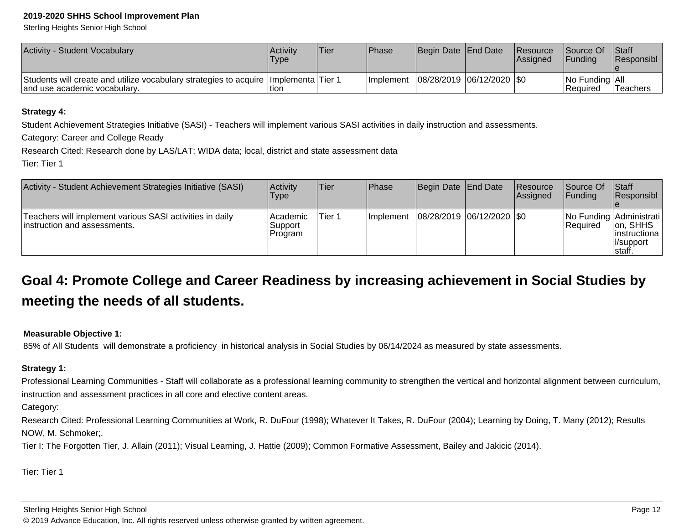Sterling Heights Senior High School

| Activity - Student Vocabulary                                                                                           | Activity<br><b>Type</b> | <b>Tier</b> | <b>Phase</b>                              | Begin Date End Date | Resource<br><b>Assigned</b> | Source Of<br><b>IFundina</b>       | <b>Staff</b><br><b>IResponsibl</b> |
|-------------------------------------------------------------------------------------------------------------------------|-------------------------|-------------|-------------------------------------------|---------------------|-----------------------------|------------------------------------|------------------------------------|
| Students will create and utilize vocabulary strategies to acquire   Implementa   Tier 1<br>and use academic vocabulary. | ltior                   |             | Implement   08/28/2019   06/12/2020   \$0 |                     |                             | No Funding All<br><b>IRequired</b> | <b>Teachers</b>                    |

#### **Strategy 4:**

Student Achievement Strategies Initiative (SASI) - Teachers will implement various SASI activities in daily instruction and assessments.

Category: Career and College Ready

Research Cited: Research done by LAS/LAT; WIDA data; local, district and state assessment data

Tier: Tier 1

| Activity - Student Achievement Strategies Initiative (SASI)                               | Activity<br><b>Type</b>          | <b>Tier</b> | Phase            | Begin Date End Date         | <b>Resource</b><br>Assigned | <b>Source Of</b><br>IFundina                | <b>Staff</b><br>Responsibl                          |
|-------------------------------------------------------------------------------------------|----------------------------------|-------------|------------------|-----------------------------|-----------------------------|---------------------------------------------|-----------------------------------------------------|
| Teachers will implement various SASI activities in daily<br>linstruction and assessments. | l Academic<br>Support<br>Program | Tier 1      | <b>Implement</b> | 08/28/2019  06/12/2020  \$0 |                             | No Funding Administrati<br><b>IRequired</b> | Ion. SHHS<br>linstructiona<br>ll/support<br>∣staff. |

### **Goal 4: Promote College and Career Readiness by increasing achievement in Social Studies bymeeting the needs of all students.**

### **Measurable Objective 1:**

85% of All Students will demonstrate a proficiency in historical analysis in Social Studies by 06/14/2024 as measured by state assessments.

### **Strategy 1:**

Professional Learning Communities - Staff will collaborate as a professional learning community to strengthen the vertical and horizontal alignment between curriculum, instruction and assessment practices in all core and elective content areas.

Category:

Research Cited: Professional Learning Communities at Work, R. DuFour (1998); Whatever It Takes, R. DuFour (2004); Learning by Doing, T. Many (2012); ResultsNOW, M. Schmoker;.

Tier I: The Forgotten Tier, J. Allain (2011); Visual Learning, J. Hattie (2009); Common Formative Assessment, Bailey and Jakicic (2014).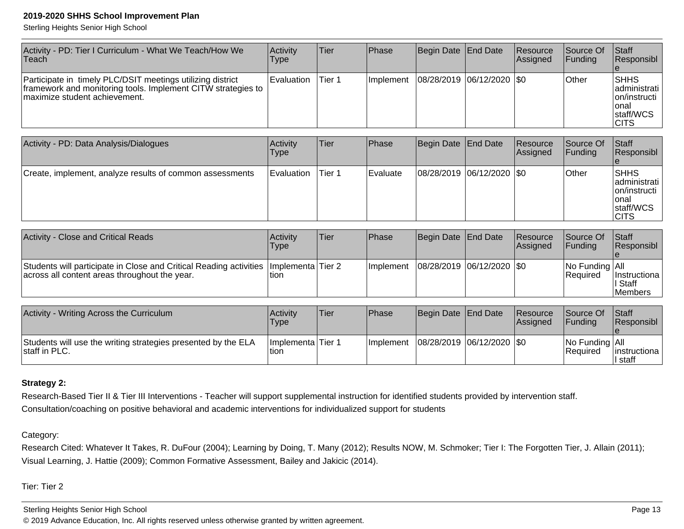Sterling Heights Senior High School

| Activity - PD: Tier I Curriculum - What We Teach/How We<br>∣Teach                                                                                            | Activity<br>Type  | ∣Tier∶ | <b>IPhase</b> | Begin Date   End Date       | Resource<br><b>Assigned</b> | Source Of<br><b>IFunding</b> | <b>Staff</b><br>Responsibl                                                                     |
|--------------------------------------------------------------------------------------------------------------------------------------------------------------|-------------------|--------|---------------|-----------------------------|-----------------------------|------------------------------|------------------------------------------------------------------------------------------------|
| Participate in timely PLC/DSIT meetings utilizing district<br>framework and monitoring tools. Implement CITW strategies to<br>Imaximize student achievement. | <b>Evaluation</b> | Tier 1 | Ilmplement    | 08/28/2019  06/12/2020  \$0 |                             | <b>Other</b>                 | <b>SHHS</b><br>Iadministrati I<br>  on/instructi<br>Ional<br><b>Istaff/WCS</b><br><b>ICITS</b> |

| Activity - PD: Data Analysis/Dialogues                   | Activitv<br>Type | Tier   | <b>Phase</b> | Begin Date End Date           | Resource<br>Assigned | Source Of<br><b>IFunding</b> | Staff<br>Responsibl                                                                   |
|----------------------------------------------------------|------------------|--------|--------------|-------------------------------|----------------------|------------------------------|---------------------------------------------------------------------------------------|
| Create, implement, analyze results of common assessments | Evaluation       | Tier 1 | l Evaluate   | $ 08/28/2019 06/12/2020 $ \$0 |                      | <b>Other</b>                 | <b>ISHHS</b><br> administrati  <br> on/instructi<br>Ional<br>staff/WCS<br><b>CITS</b> |

| <b>Activity - Close and Critical Reads</b>                                                                                                | <b>Activity</b><br>Type | lTier. | <b>Phase</b> | Begin Date End Date         | Resource<br><b>Assigned</b> | Source Of<br><b>IFunding</b>            | <b>Staff</b><br>Responsibl           |
|-------------------------------------------------------------------------------------------------------------------------------------------|-------------------------|--------|--------------|-----------------------------|-----------------------------|-----------------------------------------|--------------------------------------|
| Students will participate in Close and Critical Reading activities   Implementa   Tier 2<br>across all content areas throughout the year. | ltion                   |        | Ilmplement   | 08/28/2019  06/12/2020  \$0 |                             | $ No$ Funding $ All$<br><b>Required</b> | Instructional<br>II Staff<br>Members |

| Activity - Writing Across the Curriculum                                       | Activity<br>'Type           | 'Tier | Phase      | Begin Date End Date         | <b>Resource</b><br><b>Assigned</b> | Source Of<br><b>IFundina</b>      | Staff<br><b>Responsibl</b> |
|--------------------------------------------------------------------------------|-----------------------------|-------|------------|-----------------------------|------------------------------------|-----------------------------------|----------------------------|
| Students will use the writing strategies presented by the ELA<br>staff in PLC. | Ilmplementa Tier 1<br>Ition |       | Ilmplement | 08/28/2019  06/12/2020  \$0 |                                    | No Funding All<br><b>Required</b> | linstructional<br>l staff  |

### **Strategy 2:**

Research-Based Tier II & Tier III Interventions - Teacher will support supplemental instruction for identified students provided by intervention staff.Consultation/coaching on positive behavioral and academic interventions for individualized support for students

### Category:

Research Cited: Whatever It Takes, R. DuFour (2004); Learning by Doing, T. Many (2012); Results NOW, M. Schmoker; Tier I: The Forgotten Tier, J. Allain (2011);Visual Learning, J. Hattie (2009); Common Formative Assessment, Bailey and Jakicic (2014).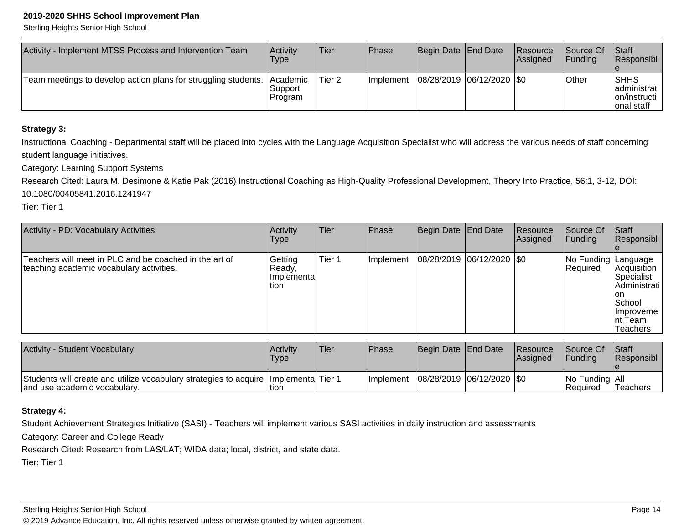Sterling Heights Senior High School

| Activity - Implement MTSS Process and Intervention Team        | ∣Activit∨<br>Type                       | Tier   | Phase            | Begin Date End Date           | <b>Resource</b><br><b>Assigned</b> | <b>Source Of</b><br><b>IFundina</b> | <b>Staff</b><br><b>Responsibl</b>                           |
|----------------------------------------------------------------|-----------------------------------------|--------|------------------|-------------------------------|------------------------------------|-------------------------------------|-------------------------------------------------------------|
| Team meetings to develop action plans for struggling students. | <b>Academic</b><br> Support <br>Program | Tier 2 | <b>Implement</b> | $ 08/28/2019 06/12/2020 $ \$0 |                                    | <b>Other</b>                        | <b>SHHS</b><br>Iadministrati<br>lon/instructi<br>onal staff |

### **Strategy 3:**

Instructional Coaching - Departmental staff will be placed into cycles with the Language Acquisition Specialist who will address the various needs of staff concerningstudent language initiatives.

Category: Learning Support Systems

Research Cited: Laura M. Desimone & Katie Pak (2016) Instructional Coaching as High-Quality Professional Development, Theory Into Practice, 56:1, 3-12, DOI: 10.1080/00405841.2016.1241947

Tier: Tier 1

| Activity - PD: Vocabulary Activities                                                               | Activity<br><b>Type</b>                        | <b>Tier</b> | <b>Phase</b>     | Begin Date End Date     | Resource<br>Assigned | Source Of<br><b>Funding</b>      | Staff<br>Responsibl                                                                                                 |
|----------------------------------------------------------------------------------------------------|------------------------------------------------|-------------|------------------|-------------------------|----------------------|----------------------------------|---------------------------------------------------------------------------------------------------------------------|
| Teachers will meet in PLC and be coached in the art of<br>teaching academic vocabulary activities. | Getting<br> Readv.<br>I Implementa l<br>ltion. | Tier 1      | <b>Implement</b> | 08/28/2019 06/12/2020 0 |                      | No Funding Language<br> Required | Acquisition <br>Specialist<br> Administrati  <br>lon.<br>School<br><b>Ilmproveme</b><br>Int Team<br><b>Teachers</b> |

| <b>Activity - Student Vocabulary</b>                                                                                     | Activity<br><b>Type</b> | 'Tier | <b>IPhase</b>                             | Begin Date End Date | <b>Resource</b><br><b>Assigned</b> | <b>Source Of</b><br><b>IFunding</b> | <b>Staff</b><br><b>Responsibl</b> |
|--------------------------------------------------------------------------------------------------------------------------|-------------------------|-------|-------------------------------------------|---------------------|------------------------------------|-------------------------------------|-----------------------------------|
| Students will create and utilize vocabulary strategies to acquire   Implementa   Tier 1<br>land use academic vocabulary. | tion                    |       | Implement   08/28/2019   06/12/2020   \$0 |                     |                                    | $ No$ Funding $ Al $<br>l Reauired  | Teachers                          |

### **Strategy 4:**

Student Achievement Strategies Initiative (SASI) - Teachers will implement various SASI activities in daily instruction and assessments

Category: Career and College Ready

Research Cited: Research from LAS/LAT; WIDA data; local, district, and state data.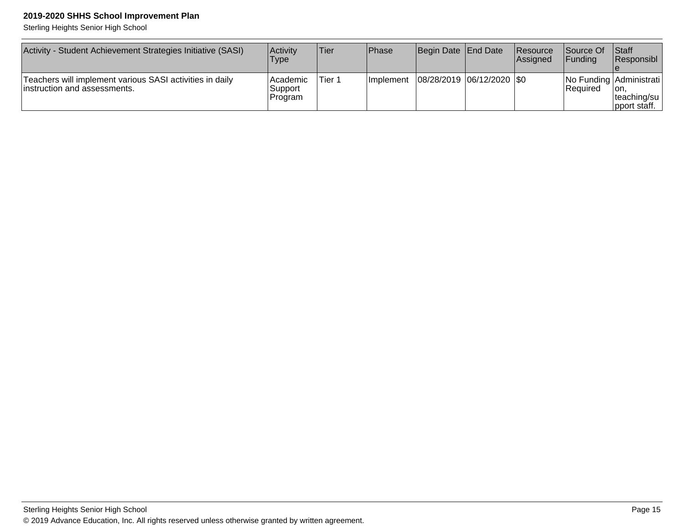Sterling Heights Senior High School

| Activity - Student Achievement Strategies Initiative (SASI)                               | <b>Activity</b><br><b>Type</b>    | <b>Tier</b> | <b>Phase</b>      | Begin Date End Date         | <b>Resource</b><br><b>Assianed</b> | <b>Source Of</b><br><b>IFundina</b> | Staff<br><b>IResponsibl</b>                                               |
|-------------------------------------------------------------------------------------------|-----------------------------------|-------------|-------------------|-----------------------------|------------------------------------|-------------------------------------|---------------------------------------------------------------------------|
| Teachers will implement various SASI activities in daily<br>linstruction and assessments. | l Academic<br>.Support<br>Program | Tier 1      | <b>Ilmplement</b> | 08/28/2019  06/12/2020  \$0 |                                    | l Reauired                          | No Funding Administrati<br>Ton.<br> teaching/su  <br>$ $ pport staff. $ $ |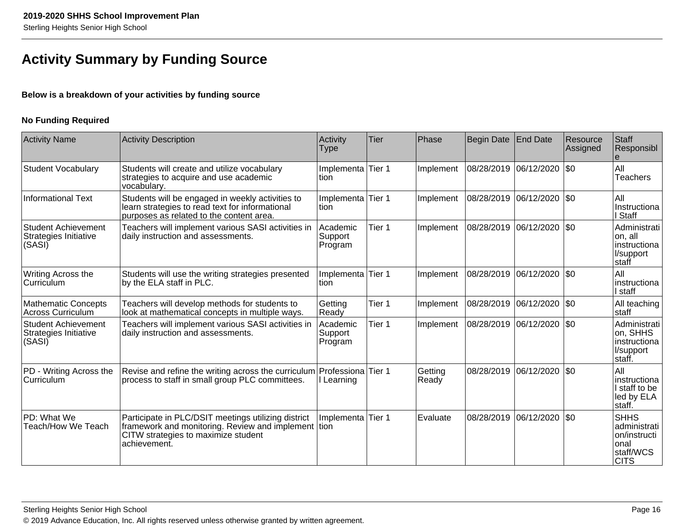### **Activity Summary by Funding Source**

### **Below is a breakdown of your activities by funding source**

### **No Funding Required**

| <b>Activity Name</b>                                          | <b>Activity Description</b>                                                                                                                                       | Activity<br><b>Type</b>        | <b>Tier</b> | Phase            | Begin Date   End Date |                             | Resource<br>Assigned | Staff<br>Responsibl                                                             |
|---------------------------------------------------------------|-------------------------------------------------------------------------------------------------------------------------------------------------------------------|--------------------------------|-------------|------------------|-----------------------|-----------------------------|----------------------|---------------------------------------------------------------------------------|
| <b>Student Vocabulary</b>                                     | Students will create and utilize vocabulary<br>strategies to acquire and use academic<br>vocabulary.                                                              | Implementa Tier 1<br>ltion     |             | Implement        |                       | 08/28/2019  06/12/2020  \$0 |                      | All<br><b>Teachers</b>                                                          |
| <b>Informational Text</b>                                     | Students will be engaged in weekly activities to<br>learn strategies to read text for informational<br>purposes as related to the content area.                   | Implementa Tier 1<br>tion      |             | Implement        |                       | 08/28/2019 06/12/2020       | $ 30\rangle$         | All<br>Instructiona<br>I Staff                                                  |
| <b>Student Achievement</b><br>Strategies Initiative<br>(SASI) | Teachers will implement various SASI activities in<br>daily instruction and assessments.                                                                          | Academic<br>Support<br>Program | Tier 1      | Implement        |                       | 08/28/2019 06/12/2020       | \$0                  | Administrati<br>on, all<br>instructiona<br>l/support<br>staff                   |
| Writing Across the<br>∣Curriculum                             | Students will use the writing strategies presented<br>by the ELA staff in PLC.                                                                                    | Implementa Tier 1<br>ltion     |             | Implement        |                       | 08/28/2019 06/12/2020       | $ $ \$0              | All<br>instructiona<br>l staff                                                  |
| <b>Mathematic Concepts</b><br><b>Across Curriculum</b>        | Teachers will develop methods for students to<br>look at mathematical concepts in multiple ways.                                                                  | Getting<br>Ready               | Tier 1      | Implement        | 08/28/2019            | 06/12/2020                  | I\$0                 | All teaching<br>staff                                                           |
| <b>Student Achievement</b><br>Strategies Initiative<br>(SASI) | Teachers will implement various SASI activities in<br>daily instruction and assessments.                                                                          | Academic<br>Support<br>Program | Tier 1      | Implement        |                       | 08/28/2019  06/12/2020  \$0 |                      | Administrati<br>on, SHHS<br>Instructiona<br>l/support<br>staff.                 |
| PD - Writing Across the<br>Curriculum                         | Revise and refine the writing across the curriculum Professiona Tier 1<br>process to staff in small group PLC committees.                                         | l Learning                     |             | Getting<br>Ready | 08/28/2019            | 06/12/2020                  | \$0                  | All<br>Instructiona<br>I staff to be<br>led by ELA<br>staff.                    |
| PD: What We<br>Teach/How We Teach                             | Participate in PLC/DSIT meetings utilizing district<br>framework and monitoring. Review and implement tion<br>CITW strategies to maximize student<br>achievement. | Implementa                     | Tier 1      | Evaluate         | 08/28/2019            | 06/12/2020                  | $ 30\rangle$         | <b>SHHS</b><br>administrati<br>on/instructi<br>onal<br>staff/WCS<br><b>CITS</b> |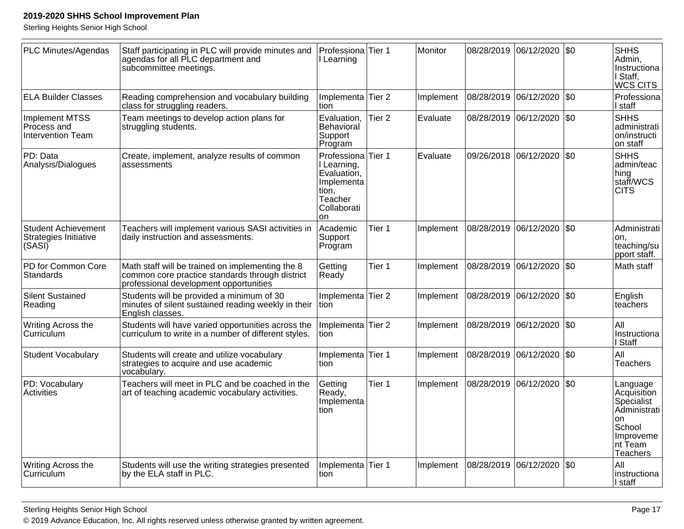Sterling Heights Senior High School

| PLC Minutes/Agendas                                           | Staff participating in PLC will provide minutes and<br>agendas for all PLC department and<br>subcommittee meetings.                           | Professiona Tier 1<br>I Learning                                                                 |                   | Monitor   |            | 08/28/2019 06/12/2020 \$0 |     | <b>SHHS</b><br>Admin,<br>Instructiona<br>Staff,<br>WCS CITS                                                              |
|---------------------------------------------------------------|-----------------------------------------------------------------------------------------------------------------------------------------------|--------------------------------------------------------------------------------------------------|-------------------|-----------|------------|---------------------------|-----|--------------------------------------------------------------------------------------------------------------------------|
| <b>ELA Builder Classes</b>                                    | Reading comprehension and vocabulary building<br>class for struggling readers.                                                                | Implementa<br>tion                                                                               | Tier <sub>2</sub> | Implement | 08/28/2019 | 06/12/2020                | \$0 | Professiona<br>l staff                                                                                                   |
| <b>Implement MTSS</b><br>Process and<br>Intervention Team     | Team meetings to develop action plans for<br>struggling students.                                                                             | Evaluation,<br>Behavioral<br>Support<br>Program                                                  | Tier <sub>2</sub> | Evaluate  | 08/28/2019 | 06/12/2020 \$0            |     | <b>SHHS</b><br>administrati<br>on/instructi<br>on staff                                                                  |
| PD: Data<br>Analysis/Dialogues                                | Create, implement, analyze results of common<br>assessments                                                                                   | Professiona<br>I Learning,<br>Evaluation,<br>Implementa<br>tion,<br>Teacher<br>Collaborati<br>on | Tier 1            | Evaluate  | 09/26/2018 | 06/12/2020 \$0            |     | <b>SHHS</b><br>admin/teac<br>hing<br>staff/WCS<br><b>CITS</b>                                                            |
| <b>Student Achievement</b><br>Strategies Initiative<br>(SASI) | Teachers will implement various SASI activities in<br>daily instruction and assessments.                                                      | Academic<br>Support<br>Program                                                                   | Tier 1            | Implement | 08/28/2019 | 06/12/2020 \$0            |     | Administrati<br>on.<br>teaching/su<br>pport staff.                                                                       |
| PD for Common Core<br>Standards                               | Math staff will be trained on implementing the 8<br>common core practice standards through district<br>professional development opportunities | Getting<br>Ready                                                                                 | Tier 1            | Implement | 08/28/2019 | 06/12/2020 \$0            |     | Math staff                                                                                                               |
| <b>Silent Sustained</b><br>Reading                            | Students will be provided a minimum of 30<br>minutes of silent sustained reading weekly in their<br>English classes.                          | Implementa Tier 2<br>Ition                                                                       |                   | Implement | 08/28/2019 | 06/12/2020   \$0          |     | English<br>teachers                                                                                                      |
| Writing Across the<br>Curriculum                              | Students will have varied opportunities across the<br>curriculum to write in a number of different styles.                                    | Implementa Tier 2<br>tion                                                                        |                   | Implement |            | 08/28/2019 06/12/2020 \$0 |     | All<br>Instructiona<br>I Staff                                                                                           |
| <b>Student Vocabulary</b>                                     | Students will create and utilize vocabulary<br>strategies to acquire and use academic<br>vocabulary.                                          | Implementa Tier 1<br>tion                                                                        |                   | Implement | 08/28/2019 | 06/12/2020                | \$0 | All<br><b>Teachers</b>                                                                                                   |
| PD: Vocabulary<br>Activities                                  | Teachers will meet in PLC and be coached in the<br>art of teaching academic vocabulary activities.                                            | Getting<br>Ready,<br>Implementa<br>tion                                                          | Tier 1            | Implement | 08/28/2019 | 06/12/2020 \\$0           |     | Language<br>Acquisition<br>Specialist<br>Administrati<br><b>on</b><br>School<br>Improveme<br>Int Team<br><b>Teachers</b> |
| Writing Across the<br>l Curriculum                            | Students will use the writing strategies presented<br>by the ELA staff in PLC.                                                                | Implementa Tier 1<br>tion                                                                        |                   | Implement |            | 08/28/2019 06/12/2020 \$0 |     | All<br>instructiona<br>I staff                                                                                           |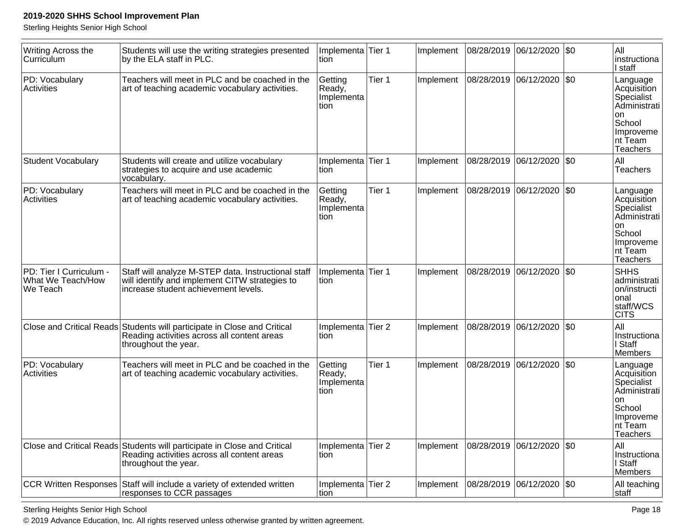Sterling Heights Senior High School

| Writing Across the<br>Curriculum                         | Students will use the writing strategies presented<br>by the ELA staff in PLC.                                                                  | Implementa Tier 1<br>tion               |        | Implement | 08/28/2019 06/12/2020       |            | \$0     | All<br>Instructiona<br>I staff                                                                                    |
|----------------------------------------------------------|-------------------------------------------------------------------------------------------------------------------------------------------------|-----------------------------------------|--------|-----------|-----------------------------|------------|---------|-------------------------------------------------------------------------------------------------------------------|
| PD: Vocabulary<br>Activities                             | Teachers will meet in PLC and be coached in the<br>art of teaching academic vocabulary activities.                                              | Getting<br>Ready,<br>Implementa<br>tion | Tier 1 | Implement | 08/28/2019 06/12/2020       |            | $ $ \$0 | Language<br>Acquisition<br>Specialist<br>Administrati<br>on.<br>School<br>Improveme<br>nt Team<br><b>Teachers</b> |
| <b>Student Vocabulary</b>                                | Students will create and utilize vocabulary<br>strategies to acquire and use academic<br>vocabulary.                                            | Implementa Tier 1<br>tion               |        | Implement | 08/28/2019  06/12/2020      |            | $ \$0$  | All<br><b>Teachers</b>                                                                                            |
| PD: Vocabulary<br>Activities                             | Teachers will meet in PLC and be coached in the<br>art of teaching academic vocabulary activities.                                              | Getting<br>Ready,<br>Implementa<br>tion | Tier 1 | Implement | 08/28/2019                  | 06/12/2020 | I\$0    | Language<br>Acquisition<br>Specialist<br>Administrati<br>on<br>School<br>Improveme<br>Int Team<br>Teachers        |
| PD: Tier I Curriculum -<br>What We Teach/How<br>We Teach | Staff will analyze M-STEP data. Instructional staff<br>will identify and implement CITW strategies to<br>increase student achievement levels.   | Implementa<br>tion                      | Tier 1 | Implement | 08/28/2019                  | 06/12/2020 | $ $ \$0 | <b>SHHS</b><br>administrati<br>on/instructi<br>onal<br>staff/WCS<br><b>CITS</b>                                   |
|                                                          | Close and Critical Reads Students will participate in Close and Critical<br>Reading activities across all content areas<br>throughout the year. | Implementa Tier 2<br>tion               |        | Implement | 08/28/2019  06/12/2020      |            | $ \$0$  | All<br>Instructiona<br>I Staff<br>Members                                                                         |
| PD: Vocabulary<br>Activities                             | Teachers will meet in PLC and be coached in the<br>art of teaching academic vocabulary activities.                                              | Getting<br>Ready,<br>Implementa<br>tion | Tier 1 | Implement | 08/28/2019                  | 06/12/2020 | I\$0    | Language<br>Acquisition<br>Specialist<br>Administrati<br>on.<br>School<br>Improveme<br>Int Team<br>Teachers       |
|                                                          | Close and Critical Reads Students will participate in Close and Critical<br>Reading activities across all content areas<br>throughout the year. | Implementa Tier 2<br>tion               |        | Implement | 08/28/2019  06/12/2020  \$0 |            |         | All<br>Instructiona<br>I Staff<br>Members                                                                         |
|                                                          | CCR Written Responses Staff will include a variety of extended written<br>responses to CCR passages                                             | Implementa Tier 2<br>tion               |        | Implement | 08/28/2019                  | 06/12/2020 | $ $ \$0 | All teaching<br>staff                                                                                             |

Sterling Heights Senior High School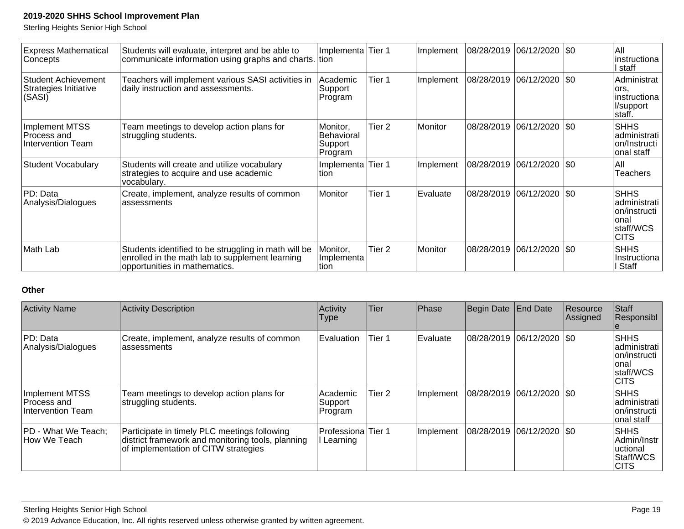Sterling Heights Senior High School

| <b>Express Mathematical</b><br> Concepts                      | Students will evaluate, interpret and be able to<br>communicate information using graphs and charts. tion                                | Implementa Tier 1                                   |                   | Implement | 08/28/2019 | 06/12/2020 \\$0    | lAll<br>instructiona<br>staff                                                        |
|---------------------------------------------------------------|------------------------------------------------------------------------------------------------------------------------------------------|-----------------------------------------------------|-------------------|-----------|------------|--------------------|--------------------------------------------------------------------------------------|
| <b>Student Achievement</b><br>Strategies Initiative<br>(SASI) | Teachers will implement various SASI activities in<br>daily instruction and assessments.                                                 | Academic<br>Support<br>Program                      | Tier 1            | Implement | 08/28/2019 | 06/12/2020 \\$0    | Administrat<br>lors,<br>instructiona<br>l/support<br>∣staff.                         |
| Implement MTSS<br>Process and<br>Intervention Team            | Team meetings to develop action plans for<br>struggling students.                                                                        | Monitor,<br><b>Behavioral</b><br>Support<br>Program | Tier <sub>2</sub> | Monitor   | 08/28/2019 | $ 06/12/2020 $ \$0 | <b>SHHS</b><br> administrati  <br>lon/Instructi<br>onal staff                        |
| <b>Student Vocabulary</b>                                     | Students will create and utilize vocabulary<br>strategies to acquire and use academic<br>vocabulary.                                     | Implementa Tier 1<br>ltion                          |                   | Implement | 08/28/2019 | 06/12/2020 \\$0    | IAII<br>Teachers                                                                     |
| PD: Data<br>Analysis/Dialogues                                | Create, implement, analyze results of common<br>lassessments                                                                             | Monitor                                             | Tier 1            | Evaluate  | 08/28/2019 | 06/12/2020  \$0    | <b>SHHS</b><br>ladministrati l<br>on/instructil<br>Ional<br>staff/WCS<br><b>CITS</b> |
| Math Lab                                                      | Students identified to be struggling in math will be<br>enrolled in the math lab to supplement learning<br>opportunities in mathematics. | Monitor,<br>Implementa<br>Ition                     | Tier <sub>2</sub> | Monitor   | 08/28/2019 | 06/12/2020 \\$0    | <b>SHHS</b><br>Instructiona<br>Staff                                                 |

### **Other**

| <b>Activity Name</b>                               | <b>Activity Description</b>                                                                                                               | Activity<br>Type               | <b>Tier</b> | Phase     | Begin Date                  | <b>End Date</b> | Resource<br>Assigned | Staff<br>Responsibl                                                                |
|----------------------------------------------------|-------------------------------------------------------------------------------------------------------------------------------------------|--------------------------------|-------------|-----------|-----------------------------|-----------------|----------------------|------------------------------------------------------------------------------------|
| PD: Data<br>Analysis/Dialogues                     | Create, implement, analyze results of common<br>assessments                                                                               | Evaluation                     | Tier 1      | Evaluate  | 08/28/2019  06/12/2020  \$0 |                 |                      | <b>SHHS</b><br>ladministrati<br>Ion/instructi<br>onal<br> staff/WCS<br><b>CITS</b> |
| Implement MTSS<br>Process and<br>Intervention Team | Team meetings to develop action plans for<br>struggling students.                                                                         | Academic<br>Support<br>Program | Tier 2      | Implement | 08/28/2019  06/12/2020  \$0 |                 |                      | <b>SHHS</b><br> administrati<br>Ion/instructi<br>lonal staff                       |
| PD - What We Teach;<br>How We Teach                | Participate in timely PLC meetings following<br>district framework and monitoring tools, planning<br>of implementation of CITW strategies | Professiona Tier 1<br>Learning |             | Implement | 08/28/2019 06/12/2020  \$0  |                 |                      | <b>SHHS</b><br>l Admin/Instr<br>uctional<br>Staff/WCS<br><b>CITS</b>               |